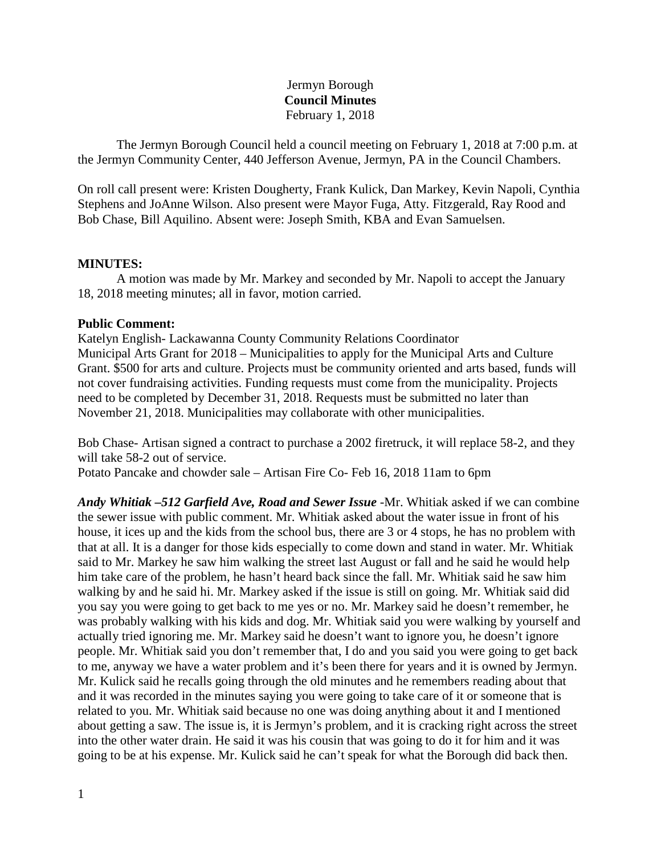# Jermyn Borough **Council Minutes** February 1, 2018

The Jermyn Borough Council held a council meeting on February 1, 2018 at 7:00 p.m. at the Jermyn Community Center, 440 Jefferson Avenue, Jermyn, PA in the Council Chambers.

On roll call present were: Kristen Dougherty, Frank Kulick, Dan Markey, Kevin Napoli, Cynthia Stephens and JoAnne Wilson. Also present were Mayor Fuga, Atty. Fitzgerald, Ray Rood and Bob Chase, Bill Aquilino. Absent were: Joseph Smith, KBA and Evan Samuelsen.

### **MINUTES:**

A motion was made by Mr. Markey and seconded by Mr. Napoli to accept the January 18, 2018 meeting minutes; all in favor, motion carried.

### **Public Comment:**

Katelyn English- Lackawanna County Community Relations Coordinator Municipal Arts Grant for 2018 – Municipalities to apply for the Municipal Arts and Culture Grant. \$500 for arts and culture. Projects must be community oriented and arts based, funds will not cover fundraising activities. Funding requests must come from the municipality. Projects need to be completed by December 31, 2018. Requests must be submitted no later than November 21, 2018. Municipalities may collaborate with other municipalities.

Bob Chase- Artisan signed a contract to purchase a 2002 firetruck, it will replace 58-2, and they will take 58-2 out of service.

Potato Pancake and chowder sale – Artisan Fire Co- Feb 16, 2018 11am to 6pm

*Andy Whitiak –512 Garfield Ave, Road and Sewer Issue -*Mr. Whitiak asked if we can combine the sewer issue with public comment. Mr. Whitiak asked about the water issue in front of his house, it ices up and the kids from the school bus, there are 3 or 4 stops, he has no problem with that at all. It is a danger for those kids especially to come down and stand in water. Mr. Whitiak said to Mr. Markey he saw him walking the street last August or fall and he said he would help him take care of the problem, he hasn't heard back since the fall. Mr. Whitiak said he saw him walking by and he said hi. Mr. Markey asked if the issue is still on going. Mr. Whitiak said did you say you were going to get back to me yes or no. Mr. Markey said he doesn't remember, he was probably walking with his kids and dog. Mr. Whitiak said you were walking by yourself and actually tried ignoring me. Mr. Markey said he doesn't want to ignore you, he doesn't ignore people. Mr. Whitiak said you don't remember that, I do and you said you were going to get back to me, anyway we have a water problem and it's been there for years and it is owned by Jermyn. Mr. Kulick said he recalls going through the old minutes and he remembers reading about that and it was recorded in the minutes saying you were going to take care of it or someone that is related to you. Mr. Whitiak said because no one was doing anything about it and I mentioned about getting a saw. The issue is, it is Jermyn's problem, and it is cracking right across the street into the other water drain. He said it was his cousin that was going to do it for him and it was going to be at his expense. Mr. Kulick said he can't speak for what the Borough did back then.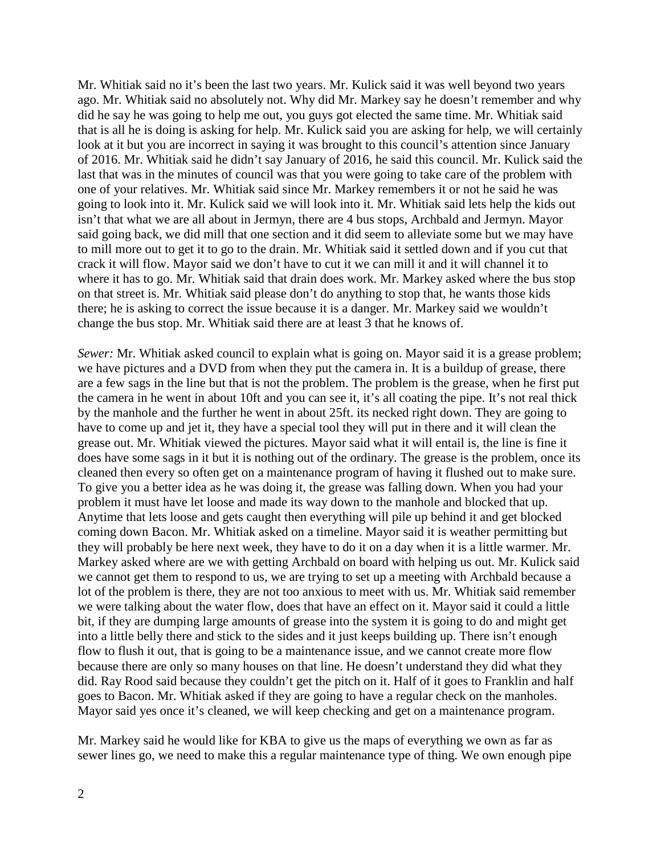Mr. Whitiak said no it's been the last two years. Mr. Kulick said it was well beyond two years ago. Mr. Whitiak said no absolutely not. Why did Mr. Markey say he doesn't remember and why did he say he was going to help me out, you guys got elected the same time. Mr. Whitiak said that is all he is doing is asking for help. Mr. Kulick said you are asking for help, we will certainly look at it but you are incorrect in saying it was brought to this council's attention since January of 2016. Mr. Whitiak said he didn't say January of 2016, he said this council. Mr. Kulick said the last that was in the minutes of council was that you were going to take care of the problem with one of your relatives. Mr. Whitiak said since Mr. Markey remembers it or not he said he was going to look into it. Mr. Kulick said we will look into it. Mr. Whitiak said lets help the kids out isn't that what we are all about in Jermyn, there are 4 bus stops, Archbald and Jermyn. Mayor said going back, we did mill that one section and it did seem to alleviate some but we may have to mill more out to get it to go to the drain. Mr. Whitiak said it settled down and if you cut that crack it will flow. Mayor said we don't have to cut it we can mill it and it will channel it to where it has to go. Mr. Whitiak said that drain does work. Mr. Markey asked where the bus stop on that street is. Mr. Whitiak said please don't do anything to stop that, he wants those kids there; he is asking to correct the issue because it is a danger. Mr. Markey said we wouldn't change the bus stop. Mr. Whitiak said there are at least 3 that he knows of.

*Sewer:* Mr. Whitiak asked council to explain what is going on. Mayor said it is a grease problem; we have pictures and a DVD from when they put the camera in. It is a buildup of grease, there are a few sags in the line but that is not the problem. The problem is the grease, when he first put the camera in he went in about 10ft and you can see it, it's all coating the pipe. It's not real thick by the manhole and the further he went in about 25ft. its necked right down. They are going to have to come up and jet it, they have a special tool they will put in there and it will clean the grease out. Mr. Whitiak viewed the pictures. Mayor said what it will entail is, the line is fine it does have some sags in it but it is nothing out of the ordinary. The grease is the problem, once its cleaned then every so often get on a maintenance program of having it flushed out to make sure. To give you a better idea as he was doing it, the grease was falling down. When you had your problem it must have let loose and made its way down to the manhole and blocked that up. Anytime that lets loose and gets caught then everything will pile up behind it and get blocked coming down Bacon. Mr. Whitiak asked on a timeline. Mayor said it is weather permitting but they will probably be here next week, they have to do it on a day when it is a little warmer. Mr. Markey asked where are we with getting Archbald on board with helping us out. Mr. Kulick said we cannot get them to respond to us, we are trying to set up a meeting with Archbald because a lot of the problem is there, they are not too anxious to meet with us. Mr. Whitiak said remember we were talking about the water flow, does that have an effect on it. Mayor said it could a little bit, if they are dumping large amounts of grease into the system it is going to do and might get into a little belly there and stick to the sides and it just keeps building up. There isn't enough flow to flush it out, that is going to be a maintenance issue, and we cannot create more flow because there are only so many houses on that line. He doesn't understand they did what they did. Ray Rood said because they couldn't get the pitch on it. Half of it goes to Franklin and half goes to Bacon. Mr. Whitiak asked if they are going to have a regular check on the manholes. Mayor said yes once it's cleaned, we will keep checking and get on a maintenance program.

Mr. Markey said he would like for KBA to give us the maps of everything we own as far as sewer lines go, we need to make this a regular maintenance type of thing. We own enough pipe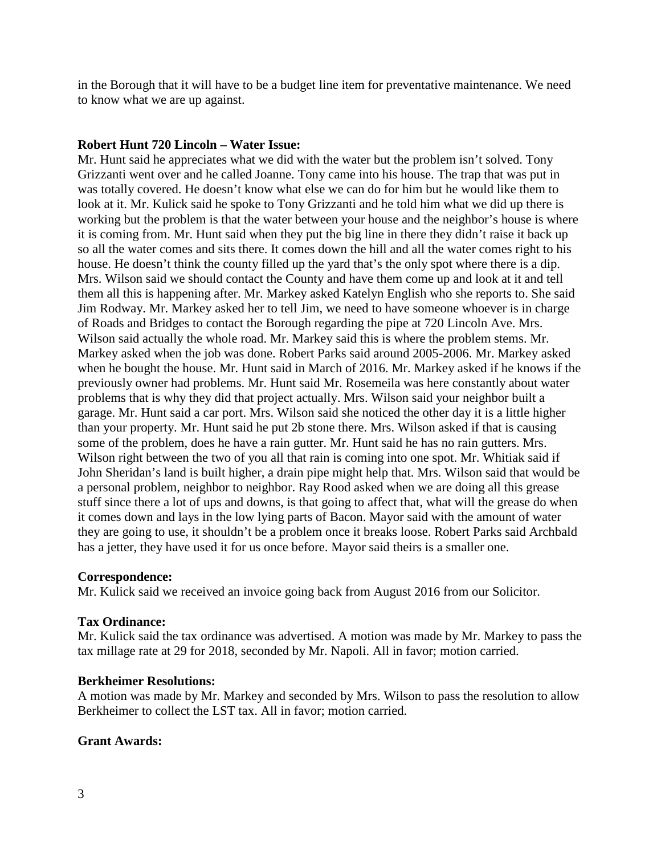in the Borough that it will have to be a budget line item for preventative maintenance. We need to know what we are up against.

# **Robert Hunt 720 Lincoln – Water Issue:**

Mr. Hunt said he appreciates what we did with the water but the problem isn't solved. Tony Grizzanti went over and he called Joanne. Tony came into his house. The trap that was put in was totally covered. He doesn't know what else we can do for him but he would like them to look at it. Mr. Kulick said he spoke to Tony Grizzanti and he told him what we did up there is working but the problem is that the water between your house and the neighbor's house is where it is coming from. Mr. Hunt said when they put the big line in there they didn't raise it back up so all the water comes and sits there. It comes down the hill and all the water comes right to his house. He doesn't think the county filled up the yard that's the only spot where there is a dip. Mrs. Wilson said we should contact the County and have them come up and look at it and tell them all this is happening after. Mr. Markey asked Katelyn English who she reports to. She said Jim Rodway. Mr. Markey asked her to tell Jim, we need to have someone whoever is in charge of Roads and Bridges to contact the Borough regarding the pipe at 720 Lincoln Ave. Mrs. Wilson said actually the whole road. Mr. Markey said this is where the problem stems. Mr. Markey asked when the job was done. Robert Parks said around 2005-2006. Mr. Markey asked when he bought the house. Mr. Hunt said in March of 2016. Mr. Markey asked if he knows if the previously owner had problems. Mr. Hunt said Mr. Rosemeila was here constantly about water problems that is why they did that project actually. Mrs. Wilson said your neighbor built a garage. Mr. Hunt said a car port. Mrs. Wilson said she noticed the other day it is a little higher than your property. Mr. Hunt said he put 2b stone there. Mrs. Wilson asked if that is causing some of the problem, does he have a rain gutter. Mr. Hunt said he has no rain gutters. Mrs. Wilson right between the two of you all that rain is coming into one spot. Mr. Whitiak said if John Sheridan's land is built higher, a drain pipe might help that. Mrs. Wilson said that would be a personal problem, neighbor to neighbor. Ray Rood asked when we are doing all this grease stuff since there a lot of ups and downs, is that going to affect that, what will the grease do when it comes down and lays in the low lying parts of Bacon. Mayor said with the amount of water they are going to use, it shouldn't be a problem once it breaks loose. Robert Parks said Archbald has a jetter, they have used it for us once before. Mayor said theirs is a smaller one.

## **Correspondence:**

Mr. Kulick said we received an invoice going back from August 2016 from our Solicitor.

## **Tax Ordinance:**

Mr. Kulick said the tax ordinance was advertised. A motion was made by Mr. Markey to pass the tax millage rate at 29 for 2018, seconded by Mr. Napoli. All in favor; motion carried.

#### **Berkheimer Resolutions:**

A motion was made by Mr. Markey and seconded by Mrs. Wilson to pass the resolution to allow Berkheimer to collect the LST tax. All in favor; motion carried.

## **Grant Awards:**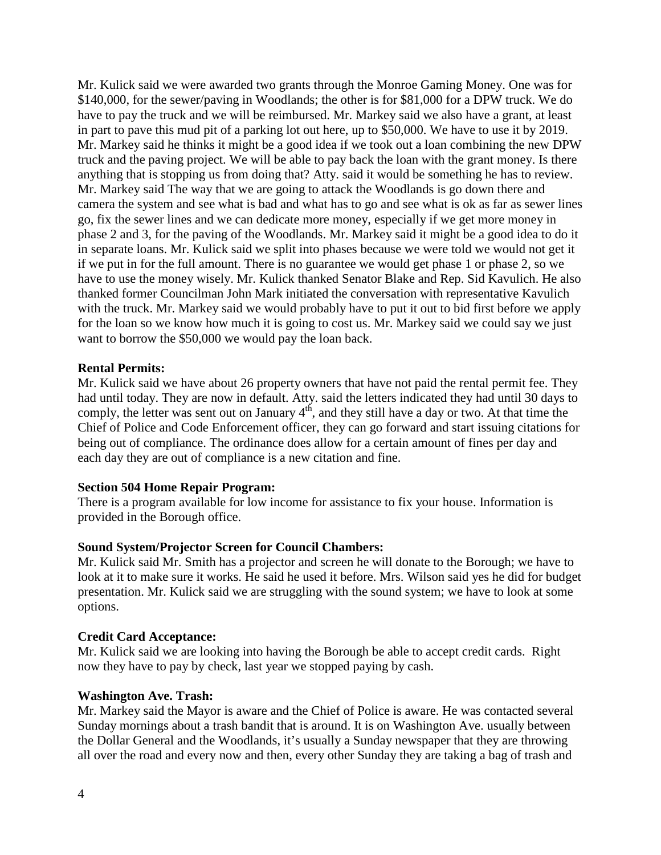Mr. Kulick said we were awarded two grants through the Monroe Gaming Money. One was for \$140,000, for the sewer/paving in Woodlands; the other is for \$81,000 for a DPW truck. We do have to pay the truck and we will be reimbursed. Mr. Markey said we also have a grant, at least in part to pave this mud pit of a parking lot out here, up to \$50,000. We have to use it by 2019. Mr. Markey said he thinks it might be a good idea if we took out a loan combining the new DPW truck and the paving project. We will be able to pay back the loan with the grant money. Is there anything that is stopping us from doing that? Atty. said it would be something he has to review. Mr. Markey said The way that we are going to attack the Woodlands is go down there and camera the system and see what is bad and what has to go and see what is ok as far as sewer lines go, fix the sewer lines and we can dedicate more money, especially if we get more money in phase 2 and 3, for the paving of the Woodlands. Mr. Markey said it might be a good idea to do it in separate loans. Mr. Kulick said we split into phases because we were told we would not get it if we put in for the full amount. There is no guarantee we would get phase 1 or phase 2, so we have to use the money wisely. Mr. Kulick thanked Senator Blake and Rep. Sid Kavulich. He also thanked former Councilman John Mark initiated the conversation with representative Kavulich with the truck. Mr. Markey said we would probably have to put it out to bid first before we apply for the loan so we know how much it is going to cost us. Mr. Markey said we could say we just want to borrow the \$50,000 we would pay the loan back.

### **Rental Permits:**

Mr. Kulick said we have about 26 property owners that have not paid the rental permit fee. They had until today. They are now in default. Atty. said the letters indicated they had until 30 days to comply, the letter was sent out on January  $4<sup>th</sup>$ , and they still have a day or two. At that time the Chief of Police and Code Enforcement officer, they can go forward and start issuing citations for being out of compliance. The ordinance does allow for a certain amount of fines per day and each day they are out of compliance is a new citation and fine.

## **Section 504 Home Repair Program:**

There is a program available for low income for assistance to fix your house. Information is provided in the Borough office.

#### **Sound System/Projector Screen for Council Chambers:**

Mr. Kulick said Mr. Smith has a projector and screen he will donate to the Borough; we have to look at it to make sure it works. He said he used it before. Mrs. Wilson said yes he did for budget presentation. Mr. Kulick said we are struggling with the sound system; we have to look at some options.

#### **Credit Card Acceptance:**

Mr. Kulick said we are looking into having the Borough be able to accept credit cards. Right now they have to pay by check, last year we stopped paying by cash.

#### **Washington Ave. Trash:**

Mr. Markey said the Mayor is aware and the Chief of Police is aware. He was contacted several Sunday mornings about a trash bandit that is around. It is on Washington Ave. usually between the Dollar General and the Woodlands, it's usually a Sunday newspaper that they are throwing all over the road and every now and then, every other Sunday they are taking a bag of trash and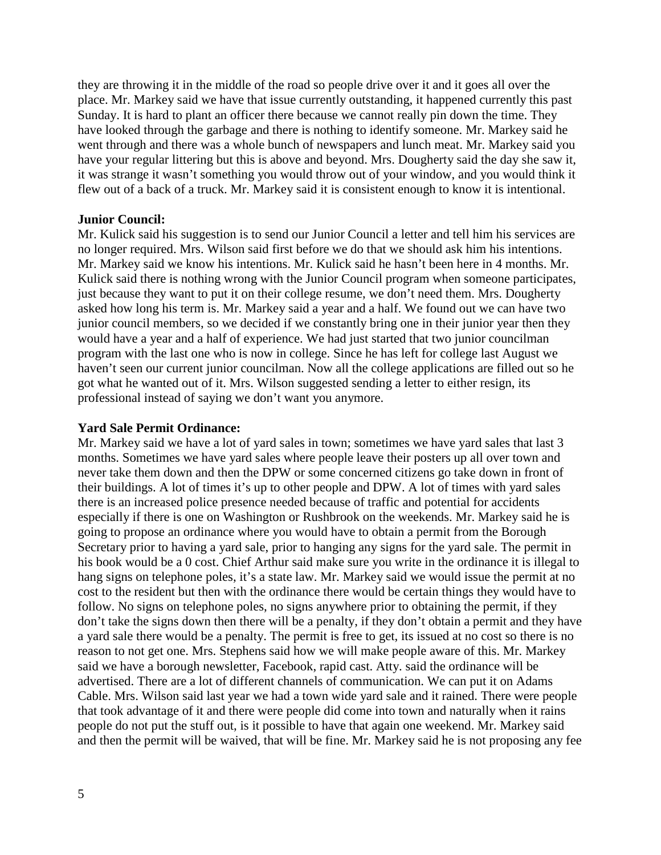they are throwing it in the middle of the road so people drive over it and it goes all over the place. Mr. Markey said we have that issue currently outstanding, it happened currently this past Sunday. It is hard to plant an officer there because we cannot really pin down the time. They have looked through the garbage and there is nothing to identify someone. Mr. Markey said he went through and there was a whole bunch of newspapers and lunch meat. Mr. Markey said you have your regular littering but this is above and beyond. Mrs. Dougherty said the day she saw it, it was strange it wasn't something you would throw out of your window, and you would think it flew out of a back of a truck. Mr. Markey said it is consistent enough to know it is intentional.

### **Junior Council:**

Mr. Kulick said his suggestion is to send our Junior Council a letter and tell him his services are no longer required. Mrs. Wilson said first before we do that we should ask him his intentions. Mr. Markey said we know his intentions. Mr. Kulick said he hasn't been here in 4 months. Mr. Kulick said there is nothing wrong with the Junior Council program when someone participates, just because they want to put it on their college resume, we don't need them. Mrs. Dougherty asked how long his term is. Mr. Markey said a year and a half. We found out we can have two junior council members, so we decided if we constantly bring one in their junior year then they would have a year and a half of experience. We had just started that two junior councilman program with the last one who is now in college. Since he has left for college last August we haven't seen our current junior councilman. Now all the college applications are filled out so he got what he wanted out of it. Mrs. Wilson suggested sending a letter to either resign, its professional instead of saying we don't want you anymore.

#### **Yard Sale Permit Ordinance:**

Mr. Markey said we have a lot of yard sales in town; sometimes we have yard sales that last 3 months. Sometimes we have yard sales where people leave their posters up all over town and never take them down and then the DPW or some concerned citizens go take down in front of their buildings. A lot of times it's up to other people and DPW. A lot of times with yard sales there is an increased police presence needed because of traffic and potential for accidents especially if there is one on Washington or Rushbrook on the weekends. Mr. Markey said he is going to propose an ordinance where you would have to obtain a permit from the Borough Secretary prior to having a yard sale, prior to hanging any signs for the yard sale. The permit in his book would be a 0 cost. Chief Arthur said make sure you write in the ordinance it is illegal to hang signs on telephone poles, it's a state law. Mr. Markey said we would issue the permit at no cost to the resident but then with the ordinance there would be certain things they would have to follow. No signs on telephone poles, no signs anywhere prior to obtaining the permit, if they don't take the signs down then there will be a penalty, if they don't obtain a permit and they have a yard sale there would be a penalty. The permit is free to get, its issued at no cost so there is no reason to not get one. Mrs. Stephens said how we will make people aware of this. Mr. Markey said we have a borough newsletter, Facebook, rapid cast. Atty. said the ordinance will be advertised. There are a lot of different channels of communication. We can put it on Adams Cable. Mrs. Wilson said last year we had a town wide yard sale and it rained. There were people that took advantage of it and there were people did come into town and naturally when it rains people do not put the stuff out, is it possible to have that again one weekend. Mr. Markey said and then the permit will be waived, that will be fine. Mr. Markey said he is not proposing any fee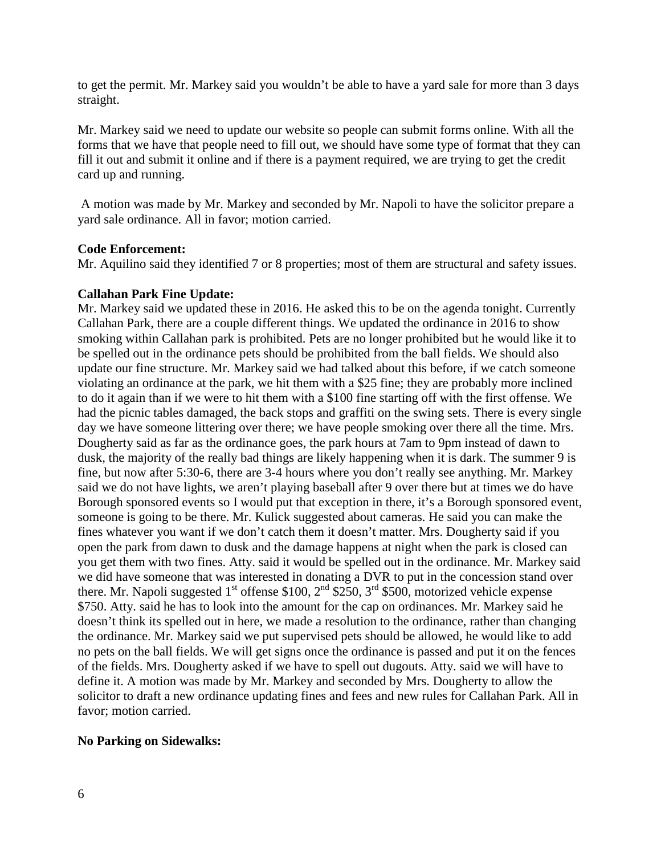to get the permit. Mr. Markey said you wouldn't be able to have a yard sale for more than 3 days straight.

Mr. Markey said we need to update our website so people can submit forms online. With all the forms that we have that people need to fill out, we should have some type of format that they can fill it out and submit it online and if there is a payment required, we are trying to get the credit card up and running.

A motion was made by Mr. Markey and seconded by Mr. Napoli to have the solicitor prepare a yard sale ordinance. All in favor; motion carried.

## **Code Enforcement:**

Mr. Aquilino said they identified 7 or 8 properties; most of them are structural and safety issues.

### **Callahan Park Fine Update:**

Mr. Markey said we updated these in 2016. He asked this to be on the agenda tonight. Currently Callahan Park, there are a couple different things. We updated the ordinance in 2016 to show smoking within Callahan park is prohibited. Pets are no longer prohibited but he would like it to be spelled out in the ordinance pets should be prohibited from the ball fields. We should also update our fine structure. Mr. Markey said we had talked about this before, if we catch someone violating an ordinance at the park, we hit them with a \$25 fine; they are probably more inclined to do it again than if we were to hit them with a \$100 fine starting off with the first offense. We had the picnic tables damaged, the back stops and graffiti on the swing sets. There is every single day we have someone littering over there; we have people smoking over there all the time. Mrs. Dougherty said as far as the ordinance goes, the park hours at 7am to 9pm instead of dawn to dusk, the majority of the really bad things are likely happening when it is dark. The summer 9 is fine, but now after 5:30-6, there are 3-4 hours where you don't really see anything. Mr. Markey said we do not have lights, we aren't playing baseball after 9 over there but at times we do have Borough sponsored events so I would put that exception in there, it's a Borough sponsored event, someone is going to be there. Mr. Kulick suggested about cameras. He said you can make the fines whatever you want if we don't catch them it doesn't matter. Mrs. Dougherty said if you open the park from dawn to dusk and the damage happens at night when the park is closed can you get them with two fines. Atty. said it would be spelled out in the ordinance. Mr. Markey said we did have someone that was interested in donating a DVR to put in the concession stand over there. Mr. Napoli suggested  $1<sup>st</sup>$  offense \$100,  $2<sup>nd</sup>$  \$250,  $3<sup>rd</sup>$  \$500, motorized vehicle expense \$750. Atty. said he has to look into the amount for the cap on ordinances. Mr. Markey said he doesn't think its spelled out in here, we made a resolution to the ordinance, rather than changing the ordinance. Mr. Markey said we put supervised pets should be allowed, he would like to add no pets on the ball fields. We will get signs once the ordinance is passed and put it on the fences of the fields. Mrs. Dougherty asked if we have to spell out dugouts. Atty. said we will have to define it. A motion was made by Mr. Markey and seconded by Mrs. Dougherty to allow the solicitor to draft a new ordinance updating fines and fees and new rules for Callahan Park. All in favor; motion carried.

## **No Parking on Sidewalks:**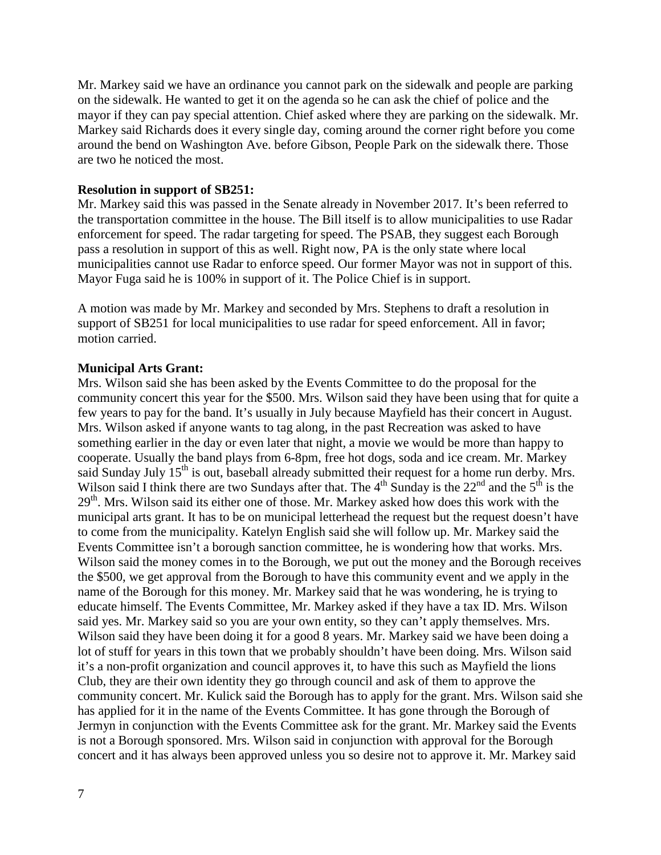Mr. Markey said we have an ordinance you cannot park on the sidewalk and people are parking on the sidewalk. He wanted to get it on the agenda so he can ask the chief of police and the mayor if they can pay special attention. Chief asked where they are parking on the sidewalk. Mr. Markey said Richards does it every single day, coming around the corner right before you come around the bend on Washington Ave. before Gibson, People Park on the sidewalk there. Those are two he noticed the most.

### **Resolution in support of SB251:**

Mr. Markey said this was passed in the Senate already in November 2017. It's been referred to the transportation committee in the house. The Bill itself is to allow municipalities to use Radar enforcement for speed. The radar targeting for speed. The PSAB, they suggest each Borough pass a resolution in support of this as well. Right now, PA is the only state where local municipalities cannot use Radar to enforce speed. Our former Mayor was not in support of this. Mayor Fuga said he is 100% in support of it. The Police Chief is in support.

A motion was made by Mr. Markey and seconded by Mrs. Stephens to draft a resolution in support of SB251 for local municipalities to use radar for speed enforcement. All in favor; motion carried.

### **Municipal Arts Grant:**

Mrs. Wilson said she has been asked by the Events Committee to do the proposal for the community concert this year for the \$500. Mrs. Wilson said they have been using that for quite a few years to pay for the band. It's usually in July because Mayfield has their concert in August. Mrs. Wilson asked if anyone wants to tag along, in the past Recreation was asked to have something earlier in the day or even later that night, a movie we would be more than happy to cooperate. Usually the band plays from 6-8pm, free hot dogs, soda and ice cream. Mr. Markey said Sunday July  $15<sup>th</sup>$  is out, baseball already submitted their request for a home run derby. Mrs. Wilson said I think there are two Sundays after that. The  $4<sup>th</sup>$  Sunday is the  $22<sup>nd</sup>$  and the  $5<sup>th</sup>$  is the 29<sup>th</sup>. Mrs. Wilson said its either one of those. Mr. Markey asked how does this work with the municipal arts grant. It has to be on municipal letterhead the request but the request doesn't have to come from the municipality. Katelyn English said she will follow up. Mr. Markey said the Events Committee isn't a borough sanction committee, he is wondering how that works. Mrs. Wilson said the money comes in to the Borough, we put out the money and the Borough receives the \$500, we get approval from the Borough to have this community event and we apply in the name of the Borough for this money. Mr. Markey said that he was wondering, he is trying to educate himself. The Events Committee, Mr. Markey asked if they have a tax ID. Mrs. Wilson said yes. Mr. Markey said so you are your own entity, so they can't apply themselves. Mrs. Wilson said they have been doing it for a good 8 years. Mr. Markey said we have been doing a lot of stuff for years in this town that we probably shouldn't have been doing. Mrs. Wilson said it's a non-profit organization and council approves it, to have this such as Mayfield the lions Club, they are their own identity they go through council and ask of them to approve the community concert. Mr. Kulick said the Borough has to apply for the grant. Mrs. Wilson said she has applied for it in the name of the Events Committee. It has gone through the Borough of Jermyn in conjunction with the Events Committee ask for the grant. Mr. Markey said the Events is not a Borough sponsored. Mrs. Wilson said in conjunction with approval for the Borough concert and it has always been approved unless you so desire not to approve it. Mr. Markey said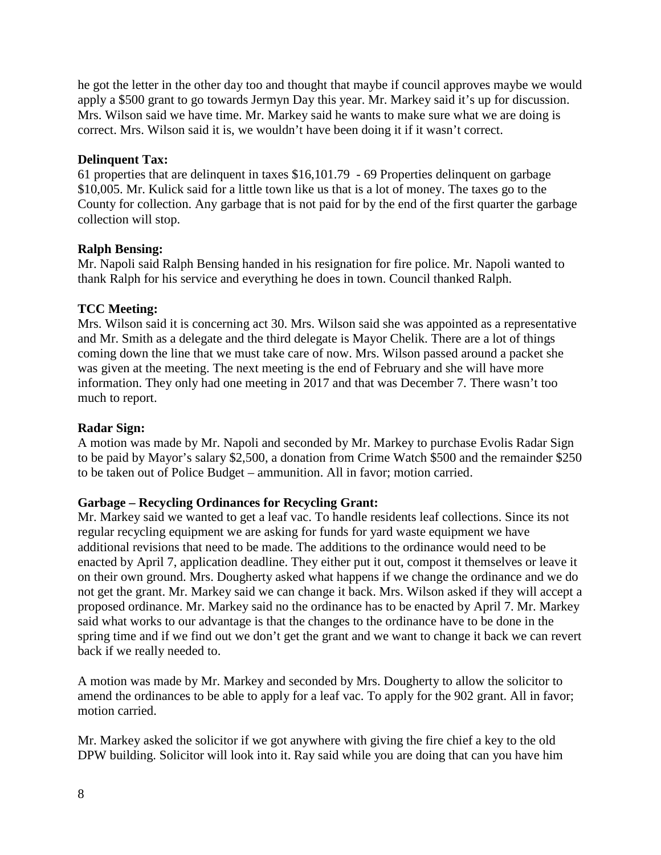he got the letter in the other day too and thought that maybe if council approves maybe we would apply a \$500 grant to go towards Jermyn Day this year. Mr. Markey said it's up for discussion. Mrs. Wilson said we have time. Mr. Markey said he wants to make sure what we are doing is correct. Mrs. Wilson said it is, we wouldn't have been doing it if it wasn't correct.

# **Delinquent Tax:**

61 properties that are delinquent in taxes \$16,101.79 - 69 Properties delinquent on garbage \$10,005. Mr. Kulick said for a little town like us that is a lot of money. The taxes go to the County for collection. Any garbage that is not paid for by the end of the first quarter the garbage collection will stop.

# **Ralph Bensing:**

Mr. Napoli said Ralph Bensing handed in his resignation for fire police. Mr. Napoli wanted to thank Ralph for his service and everything he does in town. Council thanked Ralph.

# **TCC Meeting:**

Mrs. Wilson said it is concerning act 30. Mrs. Wilson said she was appointed as a representative and Mr. Smith as a delegate and the third delegate is Mayor Chelik. There are a lot of things coming down the line that we must take care of now. Mrs. Wilson passed around a packet she was given at the meeting. The next meeting is the end of February and she will have more information. They only had one meeting in 2017 and that was December 7. There wasn't too much to report.

# **Radar Sign:**

A motion was made by Mr. Napoli and seconded by Mr. Markey to purchase Evolis Radar Sign to be paid by Mayor's salary \$2,500, a donation from Crime Watch \$500 and the remainder \$250 to be taken out of Police Budget – ammunition. All in favor; motion carried.

# **Garbage – Recycling Ordinances for Recycling Grant:**

Mr. Markey said we wanted to get a leaf vac. To handle residents leaf collections. Since its not regular recycling equipment we are asking for funds for yard waste equipment we have additional revisions that need to be made. The additions to the ordinance would need to be enacted by April 7, application deadline. They either put it out, compost it themselves or leave it on their own ground. Mrs. Dougherty asked what happens if we change the ordinance and we do not get the grant. Mr. Markey said we can change it back. Mrs. Wilson asked if they will accept a proposed ordinance. Mr. Markey said no the ordinance has to be enacted by April 7. Mr. Markey said what works to our advantage is that the changes to the ordinance have to be done in the spring time and if we find out we don't get the grant and we want to change it back we can revert back if we really needed to.

A motion was made by Mr. Markey and seconded by Mrs. Dougherty to allow the solicitor to amend the ordinances to be able to apply for a leaf vac. To apply for the 902 grant. All in favor; motion carried.

Mr. Markey asked the solicitor if we got anywhere with giving the fire chief a key to the old DPW building. Solicitor will look into it. Ray said while you are doing that can you have him